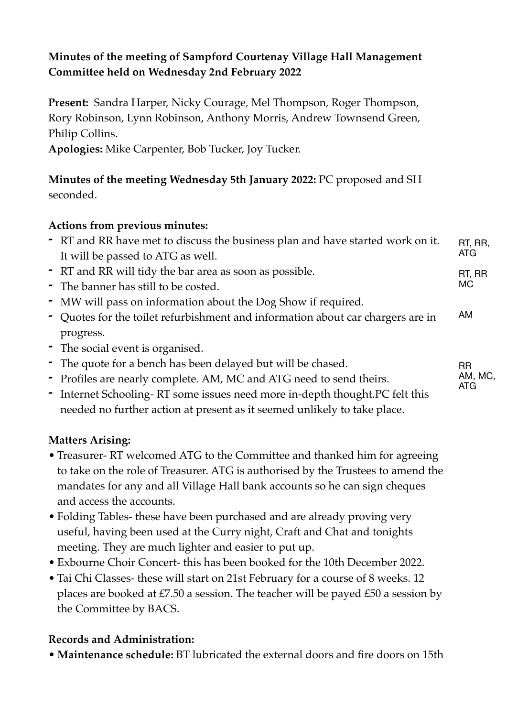# **Minutes of the meeting of Sampford Courtenay Village Hall Management Committee held on Wednesday 2nd February 2022**

**Present:** Sandra Harper, Nicky Courage, Mel Thompson, Roger Thompson, Rory Robinson, Lynn Robinson, Anthony Morris, Andrew Townsend Green, Philip Collins.

**Apologies:** Mike Carpenter, Bob Tucker, Joy Tucker.

## **Minutes of the meeting Wednesday 5th January 2022:** PC proposed and SH seconded.

### **Actions from previous minutes:**

| - RT and RR have met to discuss the business plan and have started work on it. | RT. RR. |
|--------------------------------------------------------------------------------|---------|
| It will be passed to ATG as well.                                              | ATG.    |
| - RT and RR will tidy the bar area as soon as possible.                        | RT. RR  |
| $\blacksquare$ The banner has still to be costed                               | MC.     |

- **-** The banner has still to be costed.
- **-** MW will pass on information about the Dog Show if required.
- **-** Quotes for the toilet refurbishment and information about car chargers are in progress. AM

RR AM, MC, ATG

- **-** The social event is organised.
- **-** The quote for a bench has been delayed but will be chased.
- **-** Profiles are nearly complete. AM, MC and ATG need to send theirs.
- **-** Internet Schooling- RT some issues need more in-depth thought.PC felt this needed no further action at present as it seemed unlikely to take place.

## **Matters Arising:**

- Treasurer- RT welcomed ATG to the Committee and thanked him for agreeing to take on the role of Treasurer. ATG is authorised by the Trustees to amend the mandates for any and all Village Hall bank accounts so he can sign cheques and access the accounts.
- Folding Tables- these have been purchased and are already proving very useful, having been used at the Curry night, Craft and Chat and tonights meeting. They are much lighter and easier to put up.
- Exbourne Choir Concert- this has been booked for the 10th December 2022.
- Tai Chi Classes- these will start on 21st February for a course of 8 weeks. 12 places are booked at £7.50 a session. The teacher will be payed £50 a session by the Committee by BACS.

## **Records and Administration:**

• **Maintenance schedule:** BT lubricated the external doors and fire doors on 15th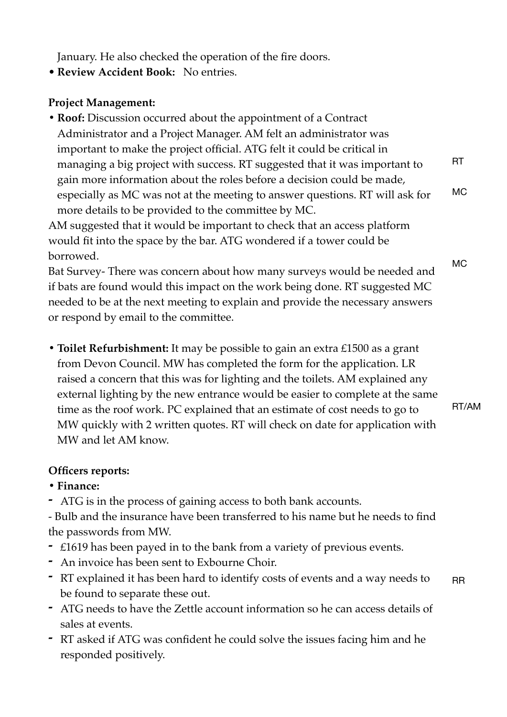January. He also checked the operation of the fire doors.

• **Review Accident Book:** No entries.

### **Project Management:**

**• Roof:** Discussion occurred about the appointment of a Contract Administrator and a Project Manager. AM felt an administrator was important to make the project official. ATG felt it could be critical in managing a big project with success. RT suggested that it was important to gain more information about the roles before a decision could be made, especially as MC was not at the meeting to answer questions. RT will ask for more details to be provided to the committee by MC. RT MC

AM suggested that it would be important to check that an access platform would fit into the space by the bar. ATG wondered if a tower could be borrowed.

Bat Survey- There was concern about how many surveys would be needed and if bats are found would this impact on the work being done. RT suggested MC needed to be at the next meeting to explain and provide the necessary answers or respond by email to the committee.

**• Toilet Refurbishment:** It may be possible to gain an extra £1500 as a grant from Devon Council. MW has completed the form for the application. LR raised a concern that this was for lighting and the toilets. AM explained any external lighting by the new entrance would be easier to complete at the same time as the roof work. PC explained that an estimate of cost needs to go to MW quickly with 2 written quotes. RT will check on date for application with MW and let AM know.

# **Officers reports:**

- **• Finance:**
- **-** ATG is in the process of gaining access to both bank accounts.

- Bulb and the insurance have been transferred to his name but he needs to find the passwords from MW.

- **-** £1619 has been payed in to the bank from a variety of previous events.
- **-** An invoice has been sent to Exbourne Choir.
- **-** RT explained it has been hard to identify costs of events and a way needs to be found to separate these out. RR
- **-** ATG needs to have the Zettle account information so he can access details of sales at events.
- **-** RT asked if ATG was confident he could solve the issues facing him and he responded positively.

MC

RT/AM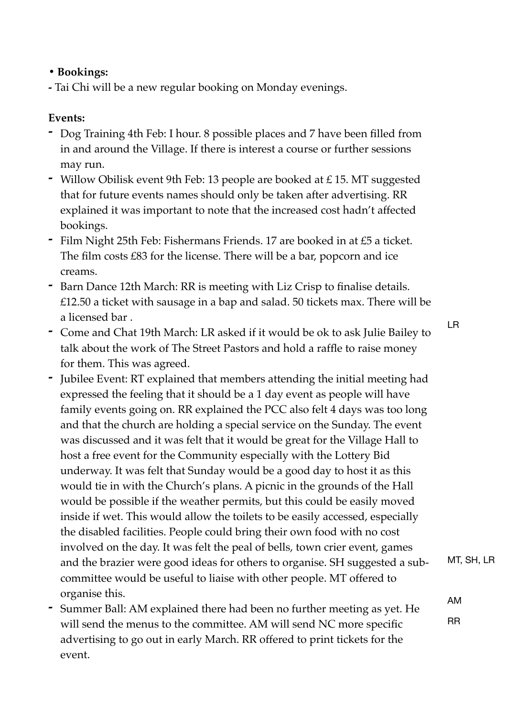## **• Bookings:**

**-** Tai Chi will be a new regular booking on Monday evenings.

## **Events:**

- **-** Dog Training 4th Feb: I hour. 8 possible places and 7 have been filled from in and around the Village. If there is interest a course or further sessions may run.
- **-** Willow Obilisk event 9th Feb: 13 people are booked at £ 15. MT suggested that for future events names should only be taken after advertising. RR explained it was important to note that the increased cost hadn't affected bookings.
- **-** Film Night 25th Feb: Fishermans Friends. 17 are booked in at £5 a ticket. The film costs £83 for the license. There will be a bar, popcorn and ice creams.
- **-** Barn Dance 12th March: RR is meeting with Liz Crisp to finalise details. £12.50 a ticket with sausage in a bap and salad. 50 tickets max. There will be a licensed bar .
- **-** Come and Chat 19th March: LR asked if it would be ok to ask Julie Bailey to talk about the work of The Street Pastors and hold a raffle to raise money for them. This was agreed.
- **-** Jubilee Event: RT explained that members attending the initial meeting had expressed the feeling that it should be a 1 day event as people will have family events going on. RR explained the PCC also felt 4 days was too long and that the church are holding a special service on the Sunday. The event was discussed and it was felt that it would be great for the Village Hall to host a free event for the Community especially with the Lottery Bid underway. It was felt that Sunday would be a good day to host it as this would tie in with the Church's plans. A picnic in the grounds of the Hall would be possible if the weather permits, but this could be easily moved inside if wet. This would allow the toilets to be easily accessed, especially the disabled facilities. People could bring their own food with no cost involved on the day. It was felt the peal of bells, town crier event, games and the brazier were good ideas for others to organise. SH suggested a subcommittee would be useful to liaise with other people. MT offered to organise this.
- **-** Summer Ball: AM explained there had been no further meeting as yet. He will send the menus to the committee. AM will send NC more specific advertising to go out in early March. RR offered to print tickets for the event.

LR

MT, SH, LR

AM

RR